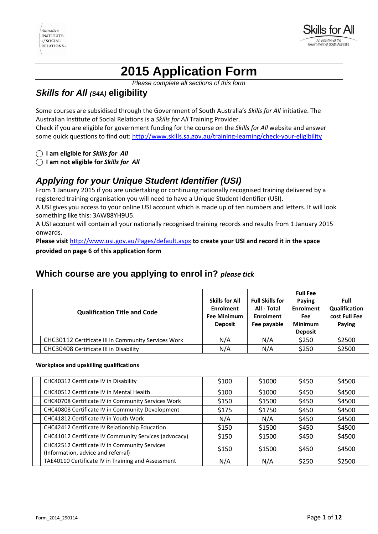

# **2015 Application Form**

*Please complete all sections of this form* 

# *Skills for All (S4A)* **eligibility**

Some courses are subsidised through the Government of South Australia's *Skills for All* initiative. The Australian Institute of Social Relations is a *Skills for All* Training Provider. Check if you are eligible for government funding for the course on the *Skills for All* website and answer some quick questions to find out: <http://www.skills.sa.gov.au/training-learning/check-your-eligibility>

**⃝ I am eligible for** *Skills for All*

**⃝ I am not eligible for** *Skills for All*

# *Applying for your Unique Student Identifier (USI)*

From 1 January 2015 if you are undertaking or continuing nationally recognised training delivered by a registered training organisation you will need to have a Unique Student Identifier (USI).

A USI gives you access to your online USI account which is made up of ten numbers and letters. It will look something like this: 3AW88YH9U5.

A USI account will contain all your nationally recognised training records and results from 1 January 2015 onwards.

**Please visit** <http://www.usi.gov.au/Pages/default.aspx> **to create your USI and record it in the space** 

#### **provided on page 6 of this application form**

# **Which course are you applying to enrol in?** *please tick*

| <b>Qualification Title and Code</b>                        | <b>Skills for All</b><br><b>Enrolment</b><br><b>Fee Minimum</b><br><b>Deposit</b> | <b>Full Skills for</b><br>All - Total<br><b>Enrolment</b><br>Fee payable | <b>Full Fee</b><br>Paying<br><b>Enrolment</b><br><b>Fee</b><br><b>Minimum</b><br><b>Deposit</b> | Full<br>Qualification<br>cost Full Fee<br>Paying |
|------------------------------------------------------------|-----------------------------------------------------------------------------------|--------------------------------------------------------------------------|-------------------------------------------------------------------------------------------------|--------------------------------------------------|
| <b>CHC30112 Certificate III in Community Services Work</b> | N/A                                                                               | N/A                                                                      | \$250                                                                                           | \$2500                                           |
| CHC30408 Certificate III in Disability                     | N/A                                                                               | N/A                                                                      | \$250                                                                                           | \$2500                                           |

#### **Workplace and upskilling qualifications**

| CHC40312 Certificate IV in Disability                                               | \$100 | \$1000 | \$450 | \$4500 |
|-------------------------------------------------------------------------------------|-------|--------|-------|--------|
| CHC40512 Certificate IV in Mental Health                                            | \$100 | \$1000 | \$450 | \$4500 |
| CHC40708 Certificate IV in Community Services Work                                  | \$150 | \$1500 | \$450 | \$4500 |
| CHC40808 Certificate IV in Community Development                                    | \$175 | \$1750 | \$450 | \$4500 |
| CHC41812 Certificate IV in Youth Work                                               | N/A   | N/A    | \$450 | \$4500 |
| CHC42412 Certificate IV Relationship Education                                      | \$150 | \$1500 | \$450 | \$4500 |
| CHC41012 Certificate IV Community Services (advocacy)                               | \$150 | \$1500 | \$450 | \$4500 |
| CHC42512 Certificate IV in Community Services<br>(Information, advice and referral) | \$150 | \$1500 | \$450 | \$4500 |
| TAE40110 Certificate IV in Training and Assessment                                  | N/A   | N/A    | \$250 | \$2500 |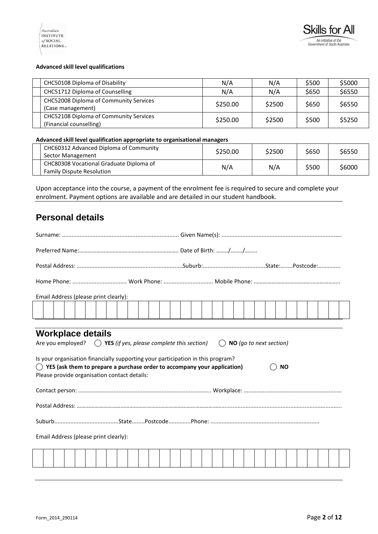

#### **Advanced skill level qualifications**

| CHC50108 Diploma of Disability                                    | N/A      | N/A    | \$500 | \$5000 |
|-------------------------------------------------------------------|----------|--------|-------|--------|
| CHC51712 Diploma of Counselling                                   | N/A      | N/A    | \$650 | \$6550 |
| CHC52008 Diploma of Community Services<br>(Case management)       | \$250.00 | \$2500 | \$650 | \$6550 |
| CHC52108 Diploma of Community Services<br>(Financial counselling) | \$250.00 | \$2500 | \$500 | \$5250 |

### **Advanced skill level qualification appropriate to organisational managers**

| CHC60312 Advanced Diploma of Community<br>Sector Management                 | \$250.00 | \$2500 | \$650 | \$6550 |
|-----------------------------------------------------------------------------|----------|--------|-------|--------|
| CHC80308 Vocational Graduate Diploma of<br><b>Family Dispute Resolution</b> | N/A      | N/A    | \$500 | \$6000 |

Upon acceptance into the course, a payment of the enrolment fee is required to secure and complete your enrolment. Payment options are available and are detailed in our student handbook.

# **Personal details**

| Email Address (please print clearly):                                                                                                                                                                                                                                                                                                                                            |  |  |  |  |  |  |
|----------------------------------------------------------------------------------------------------------------------------------------------------------------------------------------------------------------------------------------------------------------------------------------------------------------------------------------------------------------------------------|--|--|--|--|--|--|
|                                                                                                                                                                                                                                                                                                                                                                                  |  |  |  |  |  |  |
|                                                                                                                                                                                                                                                                                                                                                                                  |  |  |  |  |  |  |
| <b>Workplace details</b><br>Are you employed? $\bigcirc$ YES (if yes, please complete this section)<br>$\bigcirc$ NO (go to next section)<br>Is your organisation financially supporting your participation in this program?<br>$\bigcirc$ YES (ask them to prepare a purchase order to accompany your application)<br><b>NO</b><br>Please provide organisation contact details: |  |  |  |  |  |  |
|                                                                                                                                                                                                                                                                                                                                                                                  |  |  |  |  |  |  |
|                                                                                                                                                                                                                                                                                                                                                                                  |  |  |  |  |  |  |
|                                                                                                                                                                                                                                                                                                                                                                                  |  |  |  |  |  |  |
| Email Address (please print clearly):                                                                                                                                                                                                                                                                                                                                            |  |  |  |  |  |  |
|                                                                                                                                                                                                                                                                                                                                                                                  |  |  |  |  |  |  |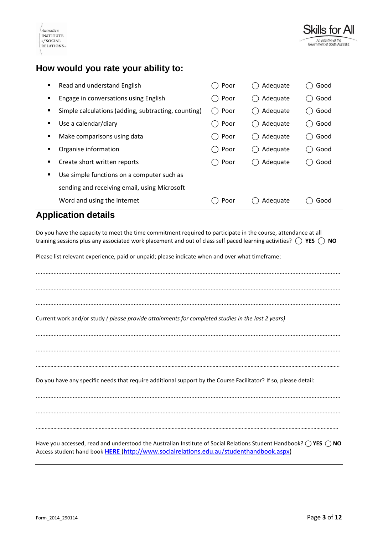

| Govern |  |
|--------|--|
|        |  |
|        |  |

Skills for All

# **How would you rate your ability to:**

| ٠ | Read and understand English                         | Poor | Adequate | Good |
|---|-----------------------------------------------------|------|----------|------|
| п | Engage in conversations using English               | Poor | Adequate | Good |
| ٠ | Simple calculations (adding, subtracting, counting) | Poor | Adequate | Good |
| ٠ | Use a calendar/diary                                | Poor | Adequate | Good |
| ٠ | Make comparisons using data                         | Poor | Adequate | Good |
| ٠ | Organise information                                | Poor | Adequate | Good |
| ٠ | Create short written reports                        | Poor | Adequate | Good |
| ٠ | Use simple functions on a computer such as          |      |          |      |
|   | sending and receiving email, using Microsoft        |      |          |      |
|   | Word and using the internet                         | Poor | Adequate | Good |

# **Application details**

Do you have the capacity to meet the time commitment required to participate in the course, attendance at all training sessions plus any associated work placement and out of class self paced learning activities? **⃝ YES ⃝ NO**

Please list relevant experience, paid or unpaid; please indicate when and over what timeframe:

.............................................................................................................................................................................................. .............................................................................................................................................................................................. ..............................................................................................................................................................................................

Current work and/or study *( please provide attainments for completed studies in the last 2 years)*

..............................................................................................................................................................................................

……………………………………………………………………………………………………………………………………………………………………………………….

..............................................................................................................................................................................................

Do you have any specific needs that require additional support by the Course Facilitator? If so, please detail:

.............................................................................................................................................................................................. ..............................................................................................................................................................................................

………………………………………………………………………………………………………………………………………………………………………………………

Have you accessed, read and understood the Australian Institute of Social Relations Student Handbook? **⃝ YES ⃝ NO** Access student hand book **[HERE](http://www.socialrelations.edu.au/studenthandbook.aspx)** [\(http://www.socialrelations.edu.au/studenthandbook.aspx\)](http://www.socialrelations.edu.au/studenthandbook.aspx)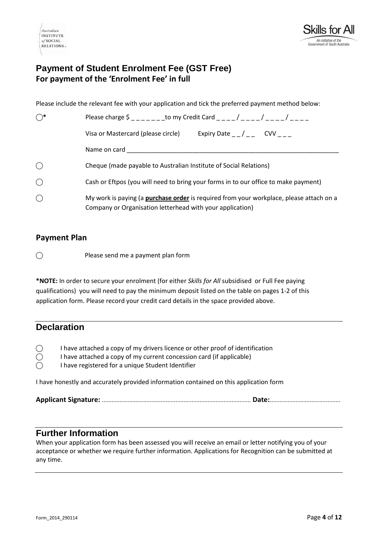



# **Payment of Student Enrolment Fee (GST Free) For payment of the 'Enrolment Fee' in full**

Please include the relevant fee with your application and tick the preferred payment method below:

| $\bigcirc^*$ | Please charge \$ to my Credit Card ( ) ( )                                                                                                                  |  |  |  |
|--------------|-------------------------------------------------------------------------------------------------------------------------------------------------------------|--|--|--|
|              | Visa or Mastercard (please circle)<br>Expiry Date $_{-}/_{-}$ CVV                                                                                           |  |  |  |
|              | Name on card                                                                                                                                                |  |  |  |
| $\bigcirc$   | Cheque (made payable to Australian Institute of Social Relations)                                                                                           |  |  |  |
| $\bigcirc$   | Cash or Eftpos (you will need to bring your forms in to our office to make payment)                                                                         |  |  |  |
| $\bigcirc$   | My work is paying (a <b>purchase order</b> is required from your workplace, please attach on a<br>Company or Organisation letterhead with your application) |  |  |  |

### **Payment Plan**

⃝ Please send me a payment plan form

**\*NOTE:** In order to secure your enrolment (for either *Skills for All* subsidised or Full Fee paying qualifications) you will need to pay the minimum deposit listed on the table on pages 1-2 of this application form. Please record your credit card details in the space provided above.

# **Declaration**

| $\bigcirc$ | I have attached a copy of my drivers licence or other proof of identification |
|------------|-------------------------------------------------------------------------------|
|            | I have attached a copy of my current concession card (if applicable)          |

 $\bigcirc$  I have registered for a unique Student Identifier

I have honestly and accurately provided information contained on this application form

**Applicant Signature:** ............................................................................................. **Date:**............................................

### **Further Information**

When your application form has been assessed you will receive an email or letter notifying you of your acceptance or whether we require further information. Applications for Recognition can be submitted at any time.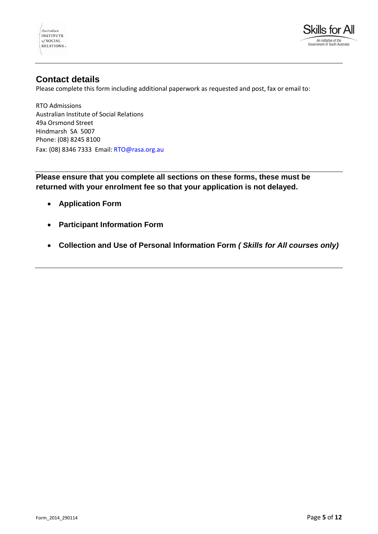



## **Contact details**

Please complete this form including additional paperwork as requested and post, fax or email to:

RTO Admissions Australian Institute of Social Relations 49a Orsmond Street Hindmarsh SA 5007 Phone: (08) 8245 8100 Fax: (08) 8346 7333 Email: RTO@rasa.org.au

**Please ensure that you complete all sections on these forms, these must be returned with your enrolment fee so that your application is not delayed.** 

- **Application Form**
- **Participant Information Form**
- **Collection and Use of Personal Information Form** *( Skills for All courses only)*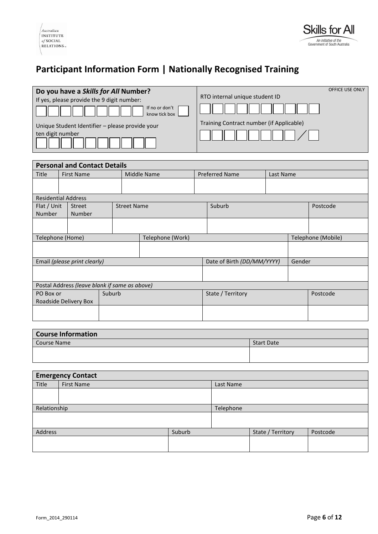# **Participant Information Form | Nationally Recognised Training**

| Do you have a Skills for All Number?<br>If yes, please provide the 9 digit number:<br>If no or don't<br>know tick box | <b>OFFICE USE ONLY</b><br>RTO internal unique student ID |
|-----------------------------------------------------------------------------------------------------------------------|----------------------------------------------------------|
| Unique Student Identifier - please provide your<br>ten digit number                                                   | Training Contract number (if Applicable)                 |

| <b>Personal and Contact Details</b>           |  |                  |                                   |                            |                       |        |                    |  |
|-----------------------------------------------|--|------------------|-----------------------------------|----------------------------|-----------------------|--------|--------------------|--|
| <b>First Name</b>                             |  |                  |                                   |                            |                       |        |                    |  |
|                                               |  |                  |                                   |                            |                       |        |                    |  |
|                                               |  |                  |                                   |                            |                       |        |                    |  |
| <b>Residential Address</b>                    |  |                  |                                   |                            |                       |        |                    |  |
| <b>Street</b>                                 |  |                  |                                   | Suburb                     |                       |        | Postcode           |  |
| Number                                        |  |                  |                                   |                            |                       |        |                    |  |
|                                               |  |                  |                                   |                            |                       |        |                    |  |
|                                               |  |                  |                                   |                            |                       |        |                    |  |
| Telephone (Home)                              |  | Telephone (Work) |                                   |                            |                       |        | Telephone (Mobile) |  |
|                                               |  |                  |                                   |                            |                       |        |                    |  |
|                                               |  |                  |                                   |                            |                       |        |                    |  |
| Email (please print clearly)                  |  |                  |                                   | Date of Birth (DD/MM/YYYY) |                       | Gender |                    |  |
|                                               |  |                  |                                   |                            |                       |        |                    |  |
|                                               |  |                  |                                   |                            |                       |        |                    |  |
| Postal Address (leave blank if same as above) |  |                  |                                   |                            |                       |        |                    |  |
|                                               |  |                  | State / Territory                 |                            | Postcode              |        |                    |  |
| Roadside Delivery Box                         |  |                  |                                   |                            |                       |        |                    |  |
|                                               |  |                  |                                   |                            |                       |        |                    |  |
|                                               |  |                  |                                   |                            |                       |        |                    |  |
|                                               |  | Suburb           | Middle Name<br><b>Street Name</b> |                            | <b>Preferred Name</b> |        | Last Name          |  |

| <b>Course Information</b> |                   |  |  |  |  |
|---------------------------|-------------------|--|--|--|--|
| Course Name               | <b>Start Date</b> |  |  |  |  |
|                           |                   |  |  |  |  |
|                           |                   |  |  |  |  |

| <b>Emergency Contact</b> |                   |           |           |                   |          |  |
|--------------------------|-------------------|-----------|-----------|-------------------|----------|--|
| Title                    | <b>First Name</b> |           | Last Name |                   |          |  |
|                          |                   |           |           |                   |          |  |
|                          |                   |           |           |                   |          |  |
| Relationship             |                   | Telephone |           |                   |          |  |
|                          |                   |           |           |                   |          |  |
|                          |                   |           |           |                   |          |  |
| Address                  |                   | Suburb    |           | State / Territory | Postcode |  |
|                          |                   |           |           |                   |          |  |
|                          |                   |           |           |                   |          |  |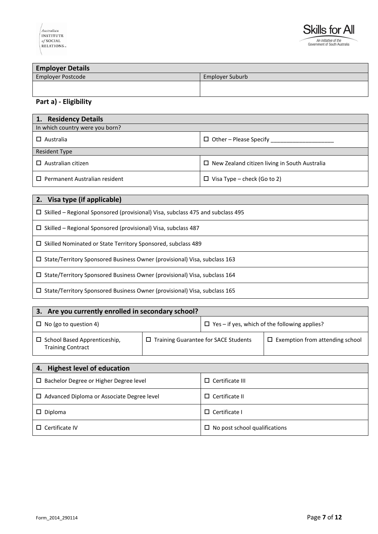

**Employer Details**  $E_{\text{mnlov}}$  Cuburb

| LIIIpiuvei rusttuue | EIIIDIOVEI JUDUID |
|---------------------|-------------------|
|                     |                   |
|                     |                   |
|                     |                   |
|                     |                   |

## **Part a) - Eligibility**

| 1. Residency Details                              |                                                      |  |  |  |
|---------------------------------------------------|------------------------------------------------------|--|--|--|
| In which country were you born?                   |                                                      |  |  |  |
| $\Box$ Other – Please Specify<br>$\Box$ Australia |                                                      |  |  |  |
| <b>Resident Type</b>                              |                                                      |  |  |  |
| $\Box$ Australian citizen                         | $\Box$ New Zealand citizen living in South Australia |  |  |  |
| $\Box$ Permanent Australian resident              | $\Box$ Visa Type – check (Go to 2)                   |  |  |  |

| 2. Visa type (if applicable)                                                          |
|---------------------------------------------------------------------------------------|
| $\Box$ Skilled – Regional Sponsored (provisional) Visa, subclass 475 and subclass 495 |
| $\Box$ Skilled – Regional Sponsored (provisional) Visa, subclass 487                  |
| $\Box$ Skilled Nominated or State Territory Sponsored, subclass 489                   |
| $\Box$ State/Territory Sponsored Business Owner (provisional) Visa, subclass 163      |
| $\Box$ State/Territory Sponsored Business Owner (provisional) Visa, subclass 164      |
| $\Box$ State/Territory Sponsored Business Owner (provisional) Visa, subclass 165      |

| Are you currently enrolled in secondary school?<br>3.                                                          |  |                                                      |                                        |  |  |
|----------------------------------------------------------------------------------------------------------------|--|------------------------------------------------------|----------------------------------------|--|--|
| $\Box$ No (go to question 4)                                                                                   |  | $\Box$ Yes – if yes, which of the following applies? |                                        |  |  |
| $\Box$ Training Guarantee for SACE Students<br>$\Box$ School Based Apprenticeship,<br><b>Training Contract</b> |  |                                                      | $\Box$ Exemption from attending school |  |  |

| 4. Highest level of education                     |                                      |  |  |  |
|---------------------------------------------------|--------------------------------------|--|--|--|
| $\Box$ Bachelor Degree or Higher Degree level     | $\Box$ Certificate III               |  |  |  |
| $\Box$ Advanced Diploma or Associate Degree level | $\Box$ Certificate II                |  |  |  |
| $\Box$ Diploma                                    | $\Box$ Certificate I                 |  |  |  |
| $\Box$ Certificate IV                             | $\Box$ No post school qualifications |  |  |  |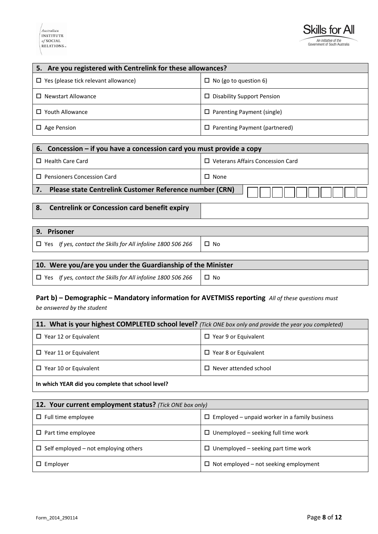#### Australian **INSTITUTE**  $of$ SOCIAL  $RELATIONS$



| 5. Are you registered with Centrelink for these allowances? |                                      |  |  |
|-------------------------------------------------------------|--------------------------------------|--|--|
| $\Box$ Yes (please tick relevant allowance)                 | $\Box$ No (go to question 6)         |  |  |
| $\Box$ Newstart Allowance                                   | $\Box$ Disability Support Pension    |  |  |
| Youth Allowance<br>$\Box$                                   | $\Box$ Parenting Payment (single)    |  |  |
| $\Box$ Age Pension                                          | $\Box$ Parenting Payment (partnered) |  |  |

| 6. Concession – if you have a concession card you must provide a copy |             |  |  |  |  |
|-----------------------------------------------------------------------|-------------|--|--|--|--|
| Veterans Affairs Concession Card<br><b>Health Care Card</b>           |             |  |  |  |  |
| <b>Pensioners Concession Card</b>                                     | $\Box$ None |  |  |  |  |
| Please state Centrelink Customer Reference number (CRN)               |             |  |  |  |  |
| <b>Centrelink or Concession card benefit expiry</b><br>8.             |             |  |  |  |  |

# **9. Prisoner**  $\Box$  Yes *If yes, contact the Skills for All infoline 1800 506 266*  $\Box$  No

### **10. Were you/are you under the Guardianship of the Minister**

 $\Box$  Yes *If yes, contact the Skills for All infoline 1800 506 266*  $\Box$  No

# **Part b) – Demographic – Mandatory information for AVETMISS reporting** *All of these questions must*

*be answered by the student*

| 11. What is your highest COMPLETED school level? (Tick ONE box only and provide the year you completed) |                             |  |  |
|---------------------------------------------------------------------------------------------------------|-----------------------------|--|--|
| $\Box$ Year 12 or Equivalent                                                                            | $\Box$ Year 9 or Equivalent |  |  |
| $\Box$ Year 11 or Equivalent                                                                            | $\Box$ Year 8 or Equivalent |  |  |
| $\Box$ Never attended school<br>$\Box$ Year 10 or Equivalent                                            |                             |  |  |
|                                                                                                         |                             |  |  |

#### **In which YEAR did you complete that school level?**

| 12. Your current employment status? (Tick ONE box only) |                                                      |  |  |  |
|---------------------------------------------------------|------------------------------------------------------|--|--|--|
| $\Box$ Full time employee                               | $\Box$ Employed – unpaid worker in a family business |  |  |  |
| $\Box$ Part time employee                               | $\Box$ Unemployed – seeking full time work           |  |  |  |
| $\Box$ Self employed – not employing others             | $\Box$ Unemployed – seeking part time work           |  |  |  |
| $\Box$ Employer                                         | $\Box$ Not employed – not seeking employment         |  |  |  |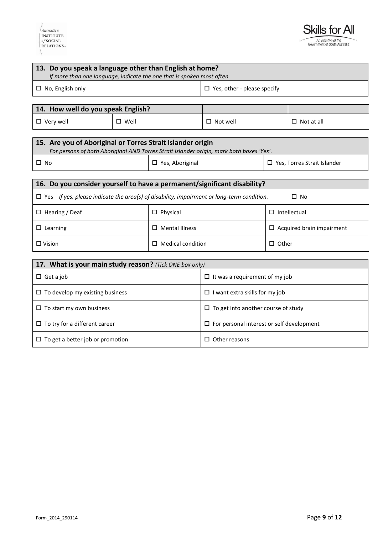

| 13. Do you speak a language other than English at home?<br>If more than one language, indicate the one that is spoken most often |                        |                                                  |                                                                                          |                                  |                               |
|----------------------------------------------------------------------------------------------------------------------------------|------------------------|--------------------------------------------------|------------------------------------------------------------------------------------------|----------------------------------|-------------------------------|
| $\Box$ No, English only                                                                                                          |                        | $\Box$ Yes, other - please specify               |                                                                                          |                                  |                               |
|                                                                                                                                  |                        |                                                  |                                                                                          |                                  |                               |
| 14. How well do you speak English?                                                                                               |                        |                                                  |                                                                                          |                                  |                               |
| $\Box$ Very well                                                                                                                 | $\square$ Well         |                                                  | $\Box$ Not well                                                                          |                                  | $\Box$ Not at all             |
|                                                                                                                                  |                        |                                                  |                                                                                          |                                  |                               |
| 15. Are you of Aboriginal or Torres Strait Islander origin                                                                       |                        |                                                  | For persons of both Aboriginal AND Torres Strait Islander origin, mark both boxes 'Yes'. |                                  |                               |
| $\square$ No                                                                                                                     | $\Box$ Yes, Aboriginal |                                                  |                                                                                          |                                  | □ Yes, Torres Strait Islander |
|                                                                                                                                  |                        |                                                  |                                                                                          |                                  |                               |
| 16. Do you consider yourself to have a permanent/significant disability?                                                         |                        |                                                  |                                                                                          |                                  |                               |
| $\Box$ Yes If yes, please indicate the area(s) of disability, impairment or long-term condition.                                 |                        |                                                  |                                                                                          |                                  | $\Box$ No                     |
| $\Box$ Hearing / Deaf                                                                                                            |                        | $\square$ Physical                               |                                                                                          | $\square$ Intellectual           |                               |
| $\square$ Learning                                                                                                               |                        | $\Box$ Mental Illness                            |                                                                                          | $\Box$ Acquired brain impairment |                               |
| $\square$ Vision                                                                                                                 |                        | $\Box$ Medical condition                         |                                                                                          | $\Box$ Other                     |                               |
|                                                                                                                                  |                        |                                                  |                                                                                          |                                  |                               |
| 17. What is your main study reason? (Tick ONE box only)                                                                          |                        |                                                  |                                                                                          |                                  |                               |
| $\Box$ Get a job                                                                                                                 |                        | $\Box$ It was a requirement of my job            |                                                                                          |                                  |                               |
| $\Box$ To develop my existing business                                                                                           |                        | $\Box$ I want extra skills for my job            |                                                                                          |                                  |                               |
| $\Box$ To start my own business                                                                                                  |                        | $\Box$ To get into another course of study       |                                                                                          |                                  |                               |
| $\Box$ To try for a different career                                                                                             |                        | $\Box$ For personal interest or self development |                                                                                          |                                  |                               |
| $\Box$ To get a better job or promotion                                                                                          |                        | $\Box$ Other reasons                             |                                                                                          |                                  |                               |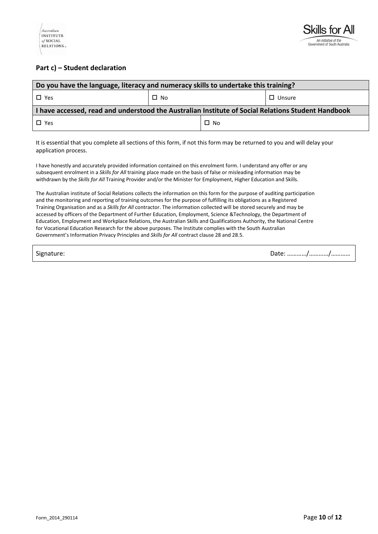

#### **Part c) – Student declaration**

| Do you have the language, literacy and numeracy skills to undertake this training?                 |              |              |               |  |
|----------------------------------------------------------------------------------------------------|--------------|--------------|---------------|--|
| $\Box$ Yes                                                                                         | $\square$ No |              | $\Box$ Unsure |  |
| I have accessed, read and understood the Australian Institute of Social Relations Student Handbook |              |              |               |  |
| $\Box$ Yes                                                                                         |              | $\square$ No |               |  |

It is essential that you complete all sections of this form, if not this form may be returned to you and will delay your application process.

I have honestly and accurately provided information contained on this enrolment form. I understand any offer or any subsequent enrolment in a *Skills for All* training place made on the basis of false or misleading information may be withdrawn by the *Skills for All* Training Provider and/or the Minister for Employment, Higher Education and Skills.

The Australian institute of Social Relations collects the information on this form for the purpose of auditing participation and the monitoring and reporting of training outcomes for the purpose of fulfilling its obligations as a Registered Training Organisation and as a *Skills for All* contractor. The information collected will be stored securely and may be accessed by officers of the Department of Further Education, Employment, Science &Technology, the Department of Education, Employment and Workplace Relations, the Australian Skills and Qualifications Authority, the National Centre for Vocational Education Research for the above purposes. The Institute complies with the South Australian Government's Information Privacy Principles and *Skills for All* contract clause 28 and 28.5.

Signature: 2008. 2012. 2013. 2014. 2015. 2016. 2017. 2018. 2019. 2016. 2017. 2018. 2019. 2018. 2019. 2019. 201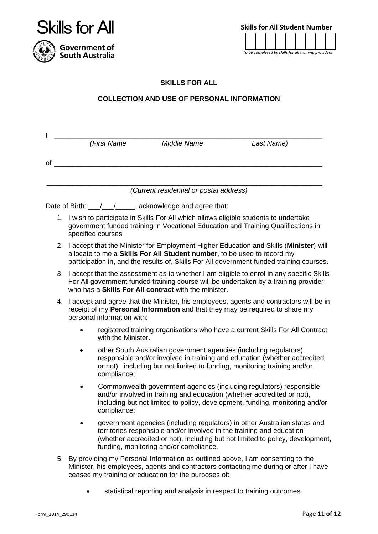

**Skills for All Student Number**

*To be completed by skills for all training providers*

#### **SKILLS FOR ALL**

#### **COLLECTION AND USE OF PERSONAL INFORMATION**

| I  | (First Name                                                                                                                                                                                                                                                     | Middle Name                                                                                                     | Last Name)                                                                                                                                                                                                                    |  |
|----|-----------------------------------------------------------------------------------------------------------------------------------------------------------------------------------------------------------------------------------------------------------------|-----------------------------------------------------------------------------------------------------------------|-------------------------------------------------------------------------------------------------------------------------------------------------------------------------------------------------------------------------------|--|
| οf |                                                                                                                                                                                                                                                                 |                                                                                                                 |                                                                                                                                                                                                                               |  |
|    |                                                                                                                                                                                                                                                                 |                                                                                                                 |                                                                                                                                                                                                                               |  |
|    |                                                                                                                                                                                                                                                                 | (Current residential or postal address)                                                                         |                                                                                                                                                                                                                               |  |
|    | Date of Birth: \[multimum / \] \[multimum / \] acknowledge and agree that:                                                                                                                                                                                      |                                                                                                                 |                                                                                                                                                                                                                               |  |
|    | 1. I wish to participate in Skills For All which allows eligible students to undertake<br>specified courses                                                                                                                                                     |                                                                                                                 | government funded training in Vocational Education and Training Qualifications in                                                                                                                                             |  |
|    | 2. I accept that the Minister for Employment Higher Education and Skills (Minister) will<br>allocate to me a Skills For All Student number, to be used to record my<br>participation in, and the results of, Skills For All government funded training courses. |                                                                                                                 |                                                                                                                                                                                                                               |  |
| 3. | I accept that the assessment as to whether I am eligible to enrol in any specific Skills<br>For All government funded training course will be undertaken by a training provider<br>who has a <b>Skills For All contract</b> with the minister.                  |                                                                                                                 |                                                                                                                                                                                                                               |  |
| 4. | I accept and agree that the Minister, his employees, agents and contractors will be in<br>receipt of my Personal Information and that they may be required to share my<br>personal information with:                                                            |                                                                                                                 |                                                                                                                                                                                                                               |  |
|    | with the Minister.                                                                                                                                                                                                                                              |                                                                                                                 | registered training organisations who have a current Skills For All Contract                                                                                                                                                  |  |
|    | compliance;                                                                                                                                                                                                                                                     | other South Australian government agencies (including regulators)                                               | responsible and/or involved in training and education (whether accredited<br>or not), including but not limited to funding, monitoring training and/or                                                                        |  |
|    | compliance;                                                                                                                                                                                                                                                     |                                                                                                                 | Commonwealth government agencies (including regulators) responsible<br>and/or involved in training and education (whether accredited or not),<br>including but not limited to policy, development, funding, monitoring and/or |  |
|    |                                                                                                                                                                                                                                                                 | territories responsible and/or involved in the training and education<br>funding, monitoring and/or compliance. | government agencies (including regulators) in other Australian states and<br>(whether accredited or not), including but not limited to policy, development,                                                                   |  |
|    |                                                                                                                                                                                                                                                                 | ceased my training or education for the purposes of:                                                            | 5. By providing my Personal Information as outlined above, I am consenting to the<br>Minister, his employees, agents and contractors contacting me during or after I have                                                     |  |

statistical reporting and analysis in respect to training outcomes